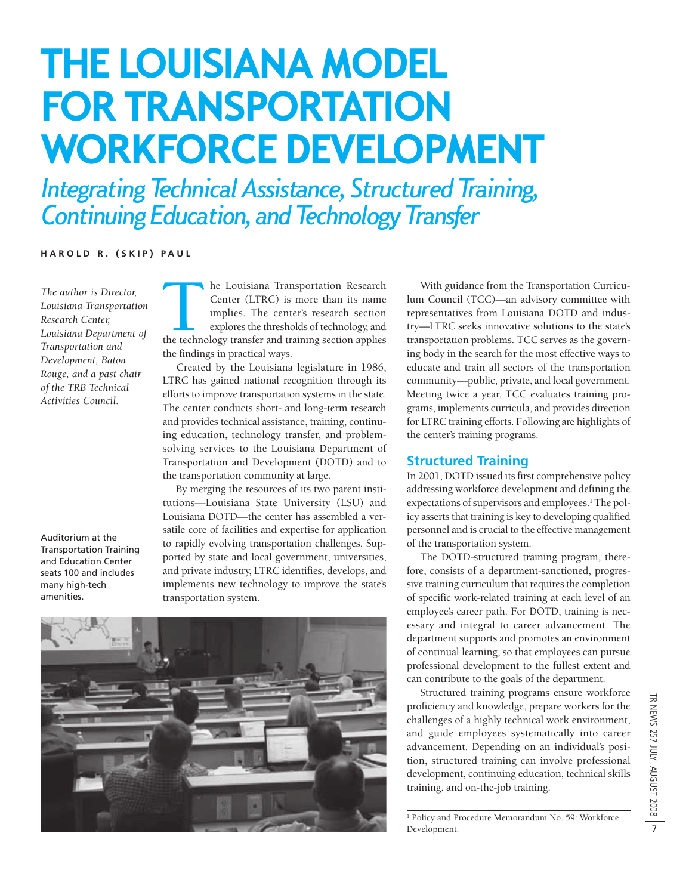# **THE LOUISIANA MODEL FOR TRANSPORTATION WORKFORCE DEVELOPMENT**

*Integrating Technical Assistance, Structured Training, Continuing Education, and Technology Transfer*

**HAROLD R. (SKIP) PAUL**

*The author is Director, Louisiana Transportation Research Center, Louisiana Department of Transportation and Development, Baton Rouge, and a past chair of the TRB Technical Activities Council.*

Auditorium at the Transportation Training and Education Center seats 100 and includes many high-tech amenities.

The Louisiana Transportation Research<br>
Center (LTRC) is more than its name<br>
implies. The center's research section<br>
explores the thresholds of technology, and<br>
the technology transfer and training section applies Center (LTRC) is more than its name implies. The center's research section explores the thresholds of technology, and the findings in practical ways.

Created by the Louisiana legislature in 1986, LTRC has gained national recognition through its efforts to improve transportation systems in the state. The center conducts short- and long-term research and provides technical assistance, training, continuing education, technology transfer, and problemsolving services to the Louisiana Department of Transportation and Development (DOTD) and to the transportation community at large.

By merging the resources of its two parent institutions—Louisiana State University (LSU) and Louisiana DOTD—the center has assembled a versatile core of facilities and expertise for application to rapidly evolving transportation challenges. Supported by state and local government, universities, and private industry, LTRC identifies, develops, and implements new technology to improve the state's transportation system.



With guidance from the Transportation Curriculum Council (TCC)—an advisory committee with representatives from Louisiana DOTD and industry—LTRC seeks innovative solutions to the state's transportation problems. TCC serves as the governing body in the search for the most effective ways to educate and train all sectors of the transportation community—public, private, and local government. Meeting twice a year, TCC evaluates training programs, implements curricula, and provides direction for LTRC training efforts. Following are highlights of the center's training programs.

# **Structured Training**

In 2001, DOTD issued its first comprehensive policy addressing workforce development and defining the expectations of supervisors and employees.<sup>1</sup> The policy asserts that training is key to developing qualified personnel and is crucial to the effective management of the transportation system.

The DOTD-structured training program, therefore, consists of a department-sanctioned, progressive training curriculum that requires the completion of specific work-related training at each level of an employee's career path. For DOTD, training is necessary and integral to career advancement. The department supports and promotes an environment of continual learning, so that employees can pursue professional development to the fullest extent and can contribute to the goals of the department.

Structured training programs ensure workforce proficiency and knowledge, prepare workers for the challenges of a highly technical work environment, and guide employees systematically into career advancement. Depending on an individual's position, structured training can involve professional development, continuing education, technical skills training, and on-the-job training.

<sup>1</sup> Policy and Procedure Memorandum No. 59: Workforce Development.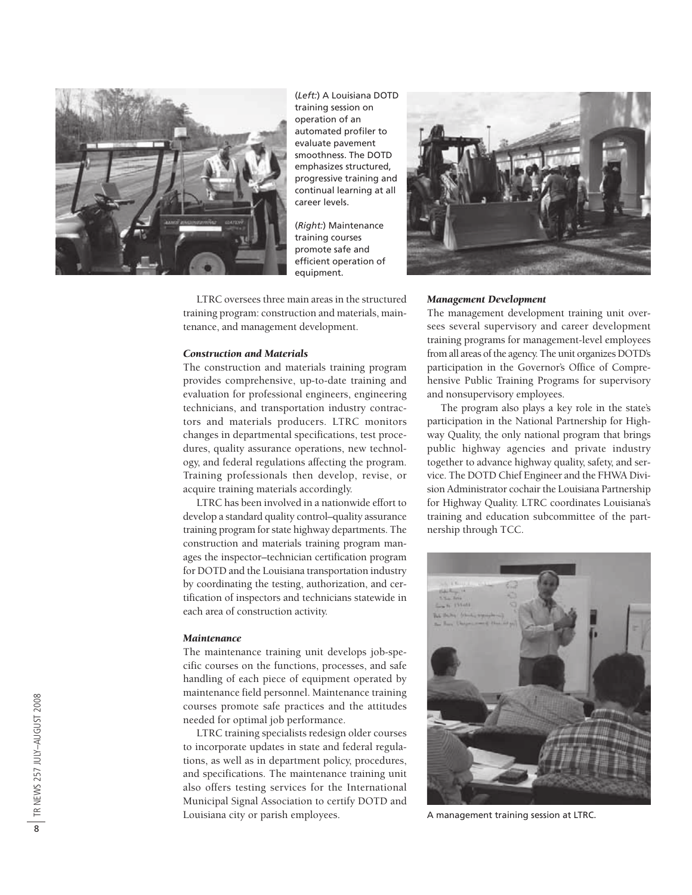

(*Left:*) A Louisiana DOTD training session on operation of an automated profiler to evaluate pavement smoothness. The DOTD emphasizes structured, progressive training and continual learning at all career levels.

(*Right:*) Maintenance training courses promote safe and efficient operation of equipment.

LTRC oversees three main areas in the structured training program: construction and materials, maintenance, and management development.

### *Construction and Materials*

The construction and materials training program provides comprehensive, up-to-date training and evaluation for professional engineers, engineering technicians, and transportation industry contractors and materials producers. LTRC monitors changes in departmental specifications, test procedures, quality assurance operations, new technology, and federal regulations affecting the program. Training professionals then develop, revise, or acquire training materials accordingly.

LTRC has been involved in a nationwide effort to develop a standard quality control–quality assurance training program for state highway departments. The construction and materials training program manages the inspector–technician certification program for DOTD and the Louisiana transportation industry by coordinating the testing, authorization, and certification of inspectors and technicians statewide in each area of construction activity.

#### *Maintenance*

The maintenance training unit develops job-specific courses on the functions, processes, and safe handling of each piece of equipment operated by maintenance field personnel. Maintenance training courses promote safe practices and the attitudes needed for optimal job performance.

LTRC training specialists redesign older courses to incorporate updates in state and federal regulations, as well as in department policy, procedures, and specifications. The maintenance training unit also offers testing services for the International Municipal Signal Association to certify DOTD and Louisiana city or parish employees.



#### *Management Development*

The management development training unit oversees several supervisory and career development training programs for management-level employees from all areas of the agency. The unit organizes DOTD's participation in the Governor's Office of Comprehensive Public Training Programs for supervisory and nonsupervisory employees.

The program also plays a key role in the state's participation in the National Partnership for Highway Quality, the only national program that brings public highway agencies and private industry together to advance highway quality, safety, and service. The DOTD Chief Engineer and the FHWA Division Administrator cochair the Louisiana Partnership for Highway Quality. LTRC coordinates Louisiana's training and education subcommittee of the partnership through TCC.



A management training session at LTRC.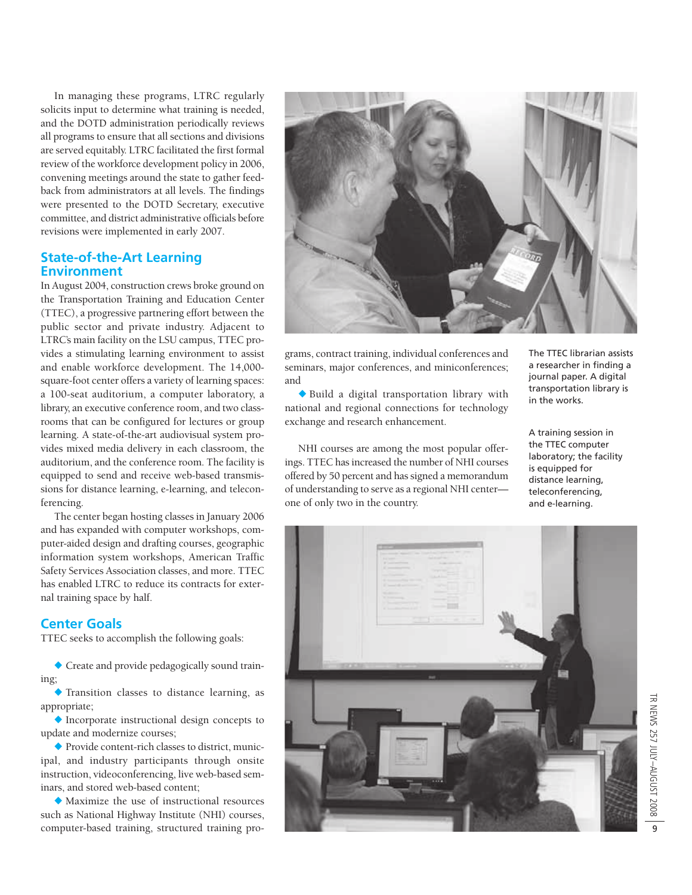In managing these programs, LTRC regularly solicits input to determine what training is needed, and the DOTD administration periodically reviews all programs to ensure that all sections and divisions are served equitably. LTRC facilitated the first formal review of the workforce development policy in 2006, convening meetings around the state to gather feedback from administrators at all levels. The findings were presented to the DOTD Secretary, executive committee, and district administrative officials before revisions were implemented in early 2007.

# **State-of-the-Art Learning Environment**

In August 2004, construction crews broke ground on the Transportation Training and Education Center (TTEC), a progressive partnering effort between the public sector and private industry. Adjacent to LTRC's main facility on the LSU campus, TTEC provides a stimulating learning environment to assist and enable workforce development. The 14,000 square-foot center offers a variety of learning spaces: a 100-seat auditorium, a computer laboratory, a library, an executive conference room, and two classrooms that can be configured for lectures or group learning. A state-of-the-art audiovisual system provides mixed media delivery in each classroom, the auditorium, and the conference room. The facility is equipped to send and receive web-based transmissions for distance learning, e-learning, and teleconferencing.

The center began hosting classes in January 2006 and has expanded with computer workshops, computer-aided design and drafting courses, geographic information system workshops, American Traffic Safety Services Association classes, and more. TTEC has enabled LTRC to reduce its contracts for external training space by half.

# **Center Goals**

TTEC seeks to accomplish the following goals:

◆ Create and provide pedagogically sound training;

◆ Transition classes to distance learning, as appropriate;

◆ Incorporate instructional design concepts to update and modernize courses;

◆ Provide content-rich classes to district, municipal, and industry participants through onsite instruction, videoconferencing, live web-based seminars, and stored web-based content;

◆ Maximize the use of instructional resources such as National Highway Institute (NHI) courses, computer-based training, structured training pro-



grams, contract training, individual conferences and seminars, major conferences, and miniconferences; and

◆ Build a digital transportation library with national and regional connections for technology exchange and research enhancement.

NHI courses are among the most popular offerings. TTEC has increased the number of NHI courses offered by 50 percent and has signed a memorandum of understanding to serve as a regional NHI center one of only two in the country.

The TTEC librarian assists a researcher in finding a journal paper. A digital transportation library is in the works.

A training session in the TTEC computer laboratory; the facility is equipped for distance learning, tele conferencing, and e-learning.

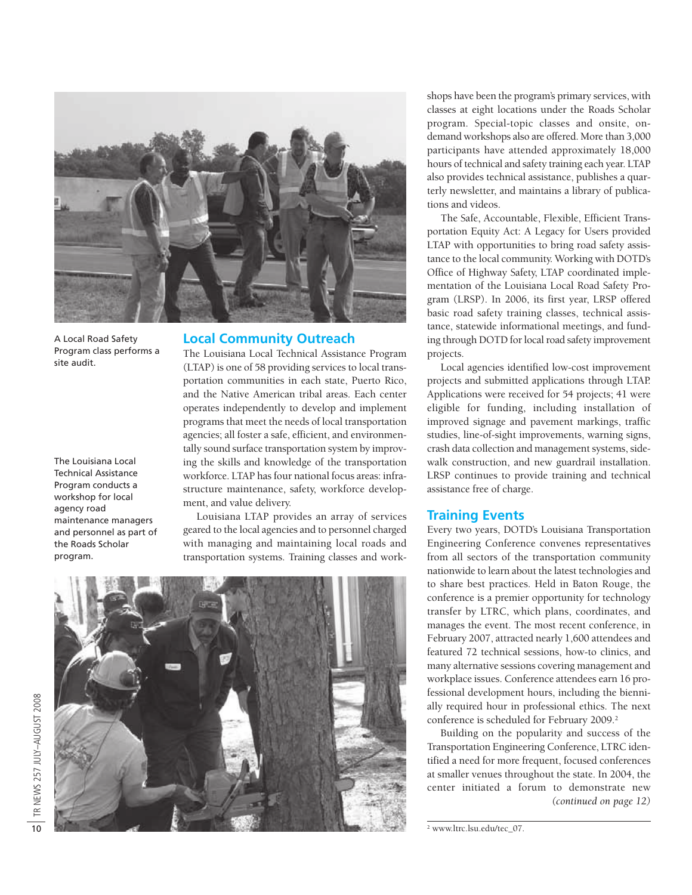

A Local Road Safety Program class performs a site audit.

The Louisiana Local Technical Assistance Program conducts a workshop for local agency road maintenance managers and personnel as part of the Roads Scholar program.

## **Local Community Outreach**

The Louisiana Local Technical Assistance Program (LTAP) is one of 58 providing services to local transportation communities in each state, Puerto Rico, and the Native American tribal areas. Each center operates independently to develop and implement programs that meet the needs of local transportation agencies; all foster a safe, efficient, and environmentally sound surface transportation system by improving the skills and knowledge of the transportation workforce. LTAP has four national focus areas: infrastructure maintenance, safety, workforce development, and value delivery.

Louisiana LTAP provides an array of services geared to the local agencies and to personnel charged with managing and maintaining local roads and transportation systems. Training classes and work-



shops have been the program's primary services, with classes at eight locations under the Roads Scholar program. Special-topic classes and onsite, ondemand workshops also are offered. More than 3,000 participants have attended approximately 18,000 hours of technical and safety training each year. LTAP also provides technical assistance, publishes a quarterly newsletter, and maintains a library of publications and videos.

The Safe, Accountable, Flexible, Efficient Transportation Equity Act: A Legacy for Users provided LTAP with opportunities to bring road safety assistance to the local community. Working with DOTD's Office of Highway Safety, LTAP coordinated implementation of the Louisiana Local Road Safety Program (LRSP). In 2006, its first year, LRSP offered basic road safety training classes, technical assistance, statewide informational meetings, and funding through DOTD for local road safety improvement projects.

Local agencies identified low-cost improvement projects and submitted applications through LTAP. Applications were received for 54 projects; 41 were eligible for funding, including installation of improved signage and pavement markings, traffic studies, line-of-sight improvements, warning signs, crash data collection and management systems, sidewalk construction, and new guardrail installation. LRSP continues to provide training and technical assistance free of charge.

## **Training Events**

Every two years, DOTD's Louisiana Transportation Engineering Conference convenes representatives from all sectors of the transportation community nationwide to learn about the latest technologies and to share best practices. Held in Baton Rouge, the conference is a premier opportunity for technology transfer by LTRC, which plans, coordinates, and manages the event. The most recent conference, in February 2007, attracted nearly 1,600 attendees and featured 72 technical sessions, how-to clinics, and many alternative sessions covering management and workplace issues. Conference attendees earn 16 professional development hours, including the biennially required hour in professional ethics. The next conference is scheduled for February 2009.<sup>2</sup>

Building on the popularity and success of the Transportation Engineering Conference, LTRC identified a need for more frequent, focused conferences at smaller venues throughout the state. In 2004, the center initiated a forum to demonstrate new *(continued on page 12)*

<sup>2</sup> www.ltrc.lsu.edu/tec\_07.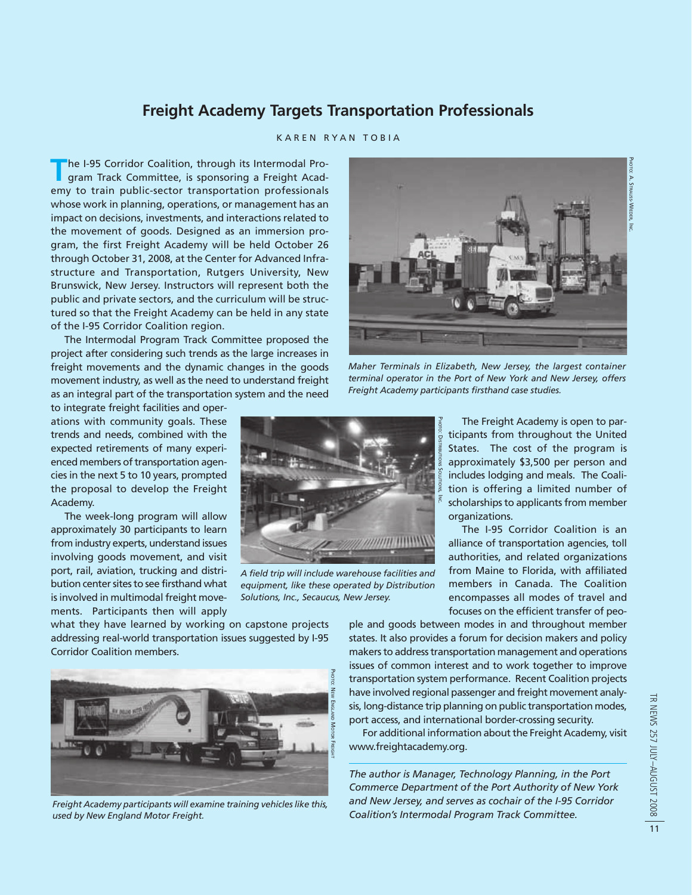# **Freight Academy Targets Transportation Professionals**

## KAREN RYAN TOBIA

**The I-95 Corridor Coalition, through its Intermodal Pro-**<br>gram Track Committee, is sponsoring a Freight Academy to train public-sector transportation professionals whose work in planning, operations, or management has an impact on decisions, investments, and interactions related to the movement of goods. Designed as an immersion program, the first Freight Academy will be held October 26 through October 31, 2008, at the Center for Advanced Infrastructure and Transportation, Rutgers University, New Brunswick, New Jersey. Instructors will represent both the public and private sectors, and the curriculum will be structured so that the Freight Academy can be held in any state of the I-95 Corridor Coalition region.

The Intermodal Program Track Committee proposed the project after considering such trends as the large increases in freight movements and the dynamic changes in the goods movement industry, as well as the need to understand freight as an integral part of the transportation system and the need

to integrate freight facilities and operations with community goals. These trends and needs, combined with the expected retirements of many experienced members of transportation agencies in the next 5 to 10 years, prompted the proposal to develop the Freight Academy.

The week-long program will allow approximately 30 participants to learn from industry experts, understand issues involving goods movement, and visit port, rail, aviation, trucking and distribution center sites to see firsthand what is involved in multimodal freight movements. Participants then will apply

what they have learned by working on capstone projects addressing real-world transportation issues suggested by I-95 Corridor Coalition members.



*Freight Academy participants will examine training vehicles like this, used by New England Motor Freight.*



*Maher Terminals in Elizabeth, New Jersey, the largest container terminal operator in the Port of New York and New Jersey, offers Freight Academy participants firsthand case studies.*



*A field trip will include warehouse facilities and equipment, like these operated by Distribution Solutions, Inc., Secaucus, New Jersey.*

The Freight Academy is open to participants from throughout the United States. The cost of the program is approximately \$3,500 per person and includes lodging and meals. The Coalition is offering a limited number of scholarships to applicants from member organizations.

The I-95 Corridor Coalition is an alliance of transportation agencies, toll authorities, and related organizations from Maine to Florida, with affiliated members in Canada. The Coalition encompasses all modes of travel and focuses on the efficient transfer of peo-

ple and goods between modes in and throughout member states. It also provides a forum for decision makers and policy makers to address transportation management and operations issues of common interest and to work together to improve transportation system performance. Recent Coalition projects have involved regional passenger and freight movement analysis, long-distance trip planning on public transportation modes, port access, and international border-crossing security.

For additional information about the Freight Academy, visit www.freightacademy.org.

*The author is Manager, Technology Planning, in the Port Commerce Department of the Port Authority of New York and New Jersey, and serves as cochair of the I-95 Corridor Coalition's Intermodal Program Track Committee.*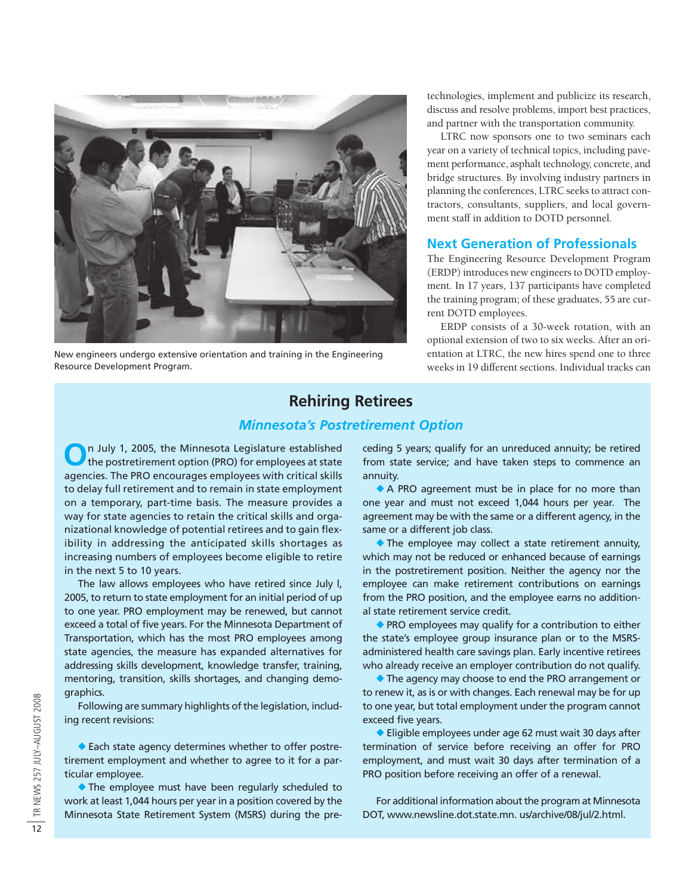

New engineers undergo extensive orientation and training in the Engineering Resource Development Program.

 technologies, implement and publicize its research, discuss and resolve problems, import best practices, and partner with the transportation community.

LTRC now sponsors one to two seminars each year on a variety of technical topics, including pavement performance, asphalt technology, concrete, and bridge structures. By involving industry partners in planning the conferences, LTRC seeks to attract contractors, consultants, suppliers, and local government staff in addition to DOTD personnel.

## **Next Generation of Professionals**

The Engineering Resource Development Program (ERDP) introduces new engineers to DOTD employment. In 17 years, 137 participants have completed the training program; of these graduates, 55 are current DOTD employees.

ERDP consists of a 30-week rotation, with an optional extension of two to six weeks. After an orientation at LTRC, the new hires spend one to three weeks in 19 different sections. Individual tracks can

# **Rehiring Retirees**

# *Minnesota's Postretirement Option*

**O**n July 1, 2005, the Minnesota Legislature established the postretirement option (PRO) for employees at state agencies. The PRO encourages employees with critical skills to delay full retirement and to remain in state employment on a temporary, part-time basis. The measure provides a way for state agencies to retain the critical skills and organizational knowledge of potential retirees and to gain flexibility in addressing the anticipated skills shortages as increasing numbers of employees become eligible to retire in the next 5 to 10 years.

The law allows employees who have retired since July l, 2005, to return to state employment for an initial period of up to one year. PRO employment may be renewed, but cannot exceed a total of five years. For the Minnesota Department of Transportation, which has the most PRO employees among state agencies, the measure has expanded alternatives for addressing skills development, knowledge transfer, training, mentoring, transition, skills shortages, and changing demographics.

Following are summary highlights of the legislation, including recent revisions:

◆ Each state agency determines whether to offer postretirement employment and whether to agree to it for a particular employee.

◆ The employee must have been regularly scheduled to work at least 1,044 hours per year in a position covered by the Minnesota State Retirement System (MSRS) during the preceding 5 years; qualify for an unreduced annuity; be retired from state service; and have taken steps to commence an annuity.

◆ A PRO agreement must be in place for no more than one year and must not exceed 1,044 hours per year. The agreement may be with the same or a different agency, in the same or a different job class.

◆ The employee may collect a state retirement annuity, which may not be reduced or enhanced because of earnings in the postretirement position. Neither the agency nor the employee can make retirement contributions on earnings from the PRO position, and the employee earns no additional state retirement service credit.

◆ PRO employees may qualify for a contribution to either the state's employee group insurance plan or to the MSRSadministered health care savings plan. Early incentive retirees who already receive an employer contribution do not qualify.

◆ The agency may choose to end the PRO arrangement or to renew it, as is or with changes. Each renewal may be for up to one year, but total employment under the program cannot exceed five years.

◆ Eligible employees under age 62 must wait 30 days after termination of service before receiving an offer for PRO employment, and must wait 30 days after termination of a PRO position before receiving an offer of a renewal.

For additional information about the program at Minnesota DOT, www.newsline.dot.state.mn. us/archive/08/jul/2.html.